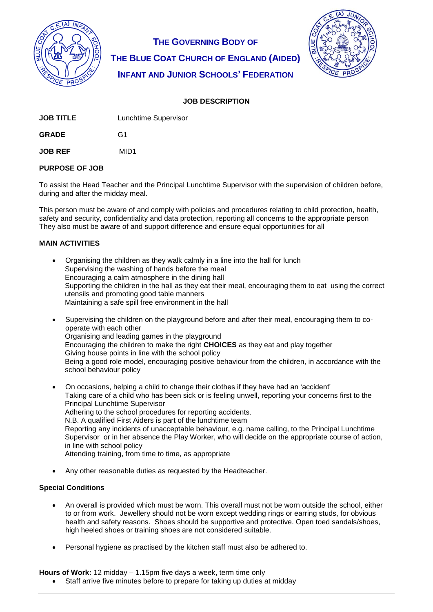

**THE GOVERNING BODY OF THE BLUE COAT CHURCH OF ENGLAND (AIDED) INFANT AND JUNIOR SCHOOLS' FEDERATION**



# **JOB DESCRIPTION**

| JOB TITLE | Lunchtime Supervisor |
|-----------|----------------------|
|           |                      |

**GRADE** G1

**JOB REF** MID1

### **PURPOSE OF JOB**

To assist the Head Teacher and the Principal Lunchtime Supervisor with the supervision of children before, during and after the midday meal.

This person must be aware of and comply with policies and procedures relating to child protection, health, safety and security, confidentiality and data protection, reporting all concerns to the appropriate person They also must be aware of and support difference and ensure equal opportunities for all

#### **MAIN ACTIVITIES**

- Organising the children as they walk calmly in a line into the hall for lunch Supervising the washing of hands before the meal Encouraging a calm atmosphere in the dining hall Supporting the children in the hall as they eat their meal, encouraging them to eat using the correct utensils and promoting good table manners Maintaining a safe spill free environment in the hall
- Supervising the children on the playground before and after their meal, encouraging them to cooperate with each other Organising and leading games in the playground Encouraging the children to make the right **CHOICES** as they eat and play together Giving house points in line with the school policy Being a good role model, encouraging positive behaviour from the children, in accordance with the school behaviour policy
- On occasions, helping a child to change their clothes if they have had an 'accident' Taking care of a child who has been sick or is feeling unwell, reporting your concerns first to the Principal Lunchtime Supervisor Adhering to the school procedures for reporting accidents. N.B. A qualified First Aiders is part of the lunchtime team Reporting any incidents of unacceptable behaviour, e.g. name calling, to the Principal Lunchtime Supervisor or in her absence the Play Worker, who will decide on the appropriate course of action, in line with school policy Attending training, from time to time, as appropriate
- Any other reasonable duties as requested by the Headteacher.

#### **Special Conditions**

- An overall is provided which must be worn. This overall must not be worn outside the school, either to or from work. Jewellery should not be worn except wedding rings or earring studs, for obvious health and safety reasons. Shoes should be supportive and protective. Open toed sandals/shoes, high heeled shoes or training shoes are not considered suitable.
- Personal hygiene as practised by the kitchen staff must also be adhered to.

**Hours of Work:** 12 midday – 1.15pm five days a week, term time only

Staff arrive five minutes before to prepare for taking up duties at midday